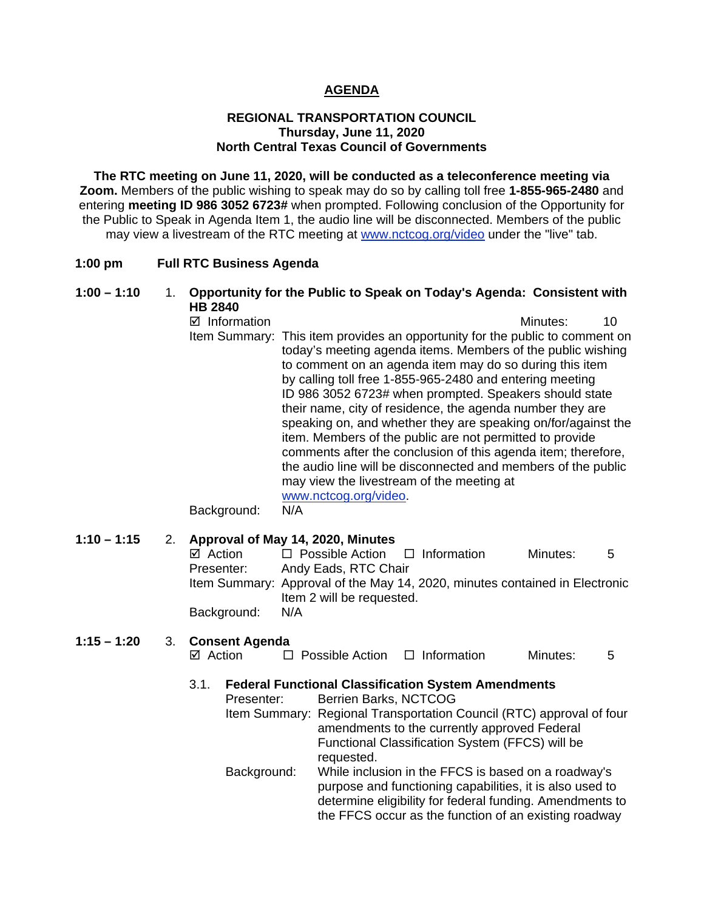## **AGENDA**

## **REGIONAL TRANSPORTATION COUNCIL Thursday, June 11, 2020 North Central Texas Council of Governments**

**The RTC meeting on June 11, 2020, will be conducted as a teleconference meeting via Zoom.** Members of the public wishing to speak may do so by calling toll free **1-855-965-2480** and entering **meeting ID 986 3052 6723#** when prompted. Following conclusion of the Opportunity for the Public to Speak in Agenda Item 1, the audio line will be disconnected. Members of the public may view a livestream of the RTC meeting at [www.nctcog.org/video](http://www.nctcog.org/video) under the "live" tab.

### **1:00 pm Full RTC Business Agenda**

## **1:00 – 1:10** 1. **Opportunity for the Public to Speak on Today's Agenda: Consistent with HB 2840**

 $\boxtimes$  Information and a set of the matrice of the Minutes: 10 Item Summary: This item provides an opportunity for the public to comment on today's meeting agenda items. Members of the public wishing to comment on an agenda item may do so during this item by calling toll free 1-855-965-2480 and entering meeting ID 986 3052 6723# when prompted. Speakers should state their name, city of residence, the agenda number they are speaking on, and whether they are speaking on/for/against the item. Members of the public are not permitted to provide comments after the conclusion of this agenda item; therefore, the audio line will be disconnected and members of the public may view the livestream of the meeting at [www.nctcog.org/video.](http://www.nctcog.org/video)

Background: N/A

## **1:10 – 1:15** 2. **Approval of May 14, 2020, Minutes**

| ⊠ Action    | $\Box$ Possible Action $\Box$ Information |                                                                             | Minutes: | - 5 |
|-------------|-------------------------------------------|-----------------------------------------------------------------------------|----------|-----|
| Presenter:  | Andy Eads, RTC Chair                      |                                                                             |          |     |
|             |                                           | Item Summary: Approval of the May 14, 2020, minutes contained in Electronic |          |     |
|             | Item 2 will be requested.                 |                                                                             |          |     |
| Background: | N/A                                       |                                                                             |          |     |

## **1:15 – 1:20** 3. **Consent Agenda**

| ⊠ Action<br>$\Box$ Possible Action | $\Box$ Information | Minutes: |
|------------------------------------|--------------------|----------|
|------------------------------------|--------------------|----------|

3.1. **Federal Functional Classification System Amendments** Presenter: Berrien Barks, NCTCOG Item Summary: Regional Transportation Council (RTC) approval of four amendments to the currently approved Federal Functional Classification System (FFCS) will be requested. Background: While inclusion in the FFCS is based on a roadway's purpose and functioning capabilities, it is also used to determine eligibility for federal funding. Amendments to the FFCS occur as the function of an existing roadway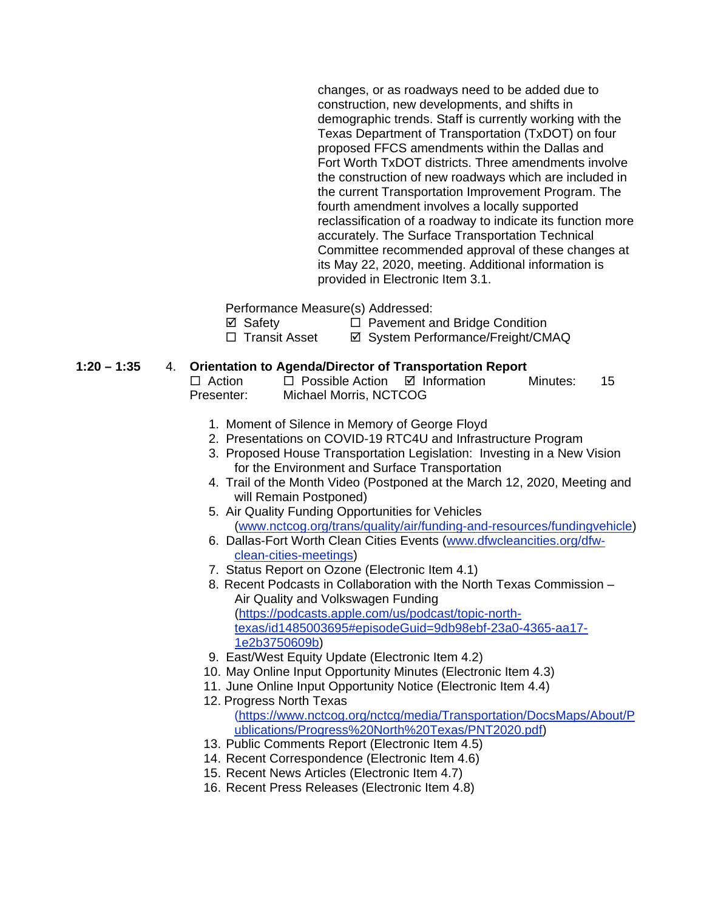changes, or as roadways need to be added due to construction, new developments, and shifts in demographic trends. Staff is currently working with the Texas Department of Transportation (TxDOT) on four proposed FFCS amendments within the Dallas and Fort Worth TxDOT districts. Three amendments involve the construction of new roadways which are included in the current Transportation Improvement Program. The fourth amendment involves a locally supported reclassification of a roadway to indicate its function more accurately. The Surface Transportation Technical Committee recommended approval of these changes at its May 22, 2020, meeting. Additional information is provided in Electronic Item 3.1.

Performance Measure(s) Addressed:

<p>✓ Safety</p>\n<p>□ Pavement and Bridge Condition</p>\n<p>□ Transit Asset</p>\n<p>✓ System Performance/Freicht/CM</p>  $\boxtimes$  System Performance/Freight/CMAQ

# **1:20 – 1:35** 4. **Orientation to Agenda/Director of Transportation Report**

 $\Box$  Possible Action  $\Box$  Information Minutes: 15 Presenter: Michael Morris, NCTCOG

- 1. Moment of Silence in Memory of George Floyd
- 2. Presentations on COVID-19 RTC4U and Infrastructure Program
- 3. Proposed House Transportation Legislation: Investing in a New Vision for the Environment and Surface Transportation
- 4. Trail of the Month Video (Postponed at the March 12, 2020, Meeting and will Remain Postponed)
- 5. Air Quality Funding Opportunities for Vehicles [\(www.nctcog.org/trans/quality/air/funding-and-resources/fundingvehicle\)](http://www.nctcog.org/trans/quality/air/funding-and-resources/fundingvehicle)
- 6. Dallas-Fort Worth Clean Cities Events [\(www.dfwcleancities.org/dfw](http://www.dfwcleancities.org/dfw-clean-cities-meetings)[clean-cities-meetings\)](http://www.dfwcleancities.org/dfw-clean-cities-meetings)
- 7. Status Report on Ozone (Electronic Item 4.1)
- 8. Recent Podcasts in Collaboration with the North Texas Commission Air Quality and Volkswagen Funding [\(https://podcasts.apple.com/us/podcast/topic-north](https://podcasts.apple.com/us/podcast/topic-north-texas/id1485003695#episodeGuid=9db98ebf-23a0-4365-aa17-1e2b3750609b)[texas/id1485003695#episodeGuid=9db98ebf-23a0-4365-aa17-](https://podcasts.apple.com/us/podcast/topic-north-texas/id1485003695#episodeGuid=9db98ebf-23a0-4365-aa17-1e2b3750609b) [1e2b3750609b\)](https://podcasts.apple.com/us/podcast/topic-north-texas/id1485003695#episodeGuid=9db98ebf-23a0-4365-aa17-1e2b3750609b)
- 9. East/West Equity Update (Electronic Item 4.2)
- 10. May Online Input Opportunity Minutes (Electronic Item 4.3)
- 11. June Online Input Opportunity Notice (Electronic Item 4.4)
- 12. Progress North Texas [\(https://www.nctcog.org/nctcg/media/Transportation/DocsMaps/About/P](https://www.nctcog.org/nctcg/media/Transportation/DocsMaps/About/Publications/Progress%20North%20Texas/PNT2020.pdf) [ublications/Progress%20North%20Texas/PNT2020.pdf\)](https://www.nctcog.org/nctcg/media/Transportation/DocsMaps/About/Publications/Progress%20North%20Texas/PNT2020.pdf)
- 13. Public Comments Report (Electronic Item 4.5)
- 14. Recent Correspondence (Electronic Item 4.6)
- 15. Recent News Articles (Electronic Item 4.7)
- 16. Recent Press Releases (Electronic Item 4.8)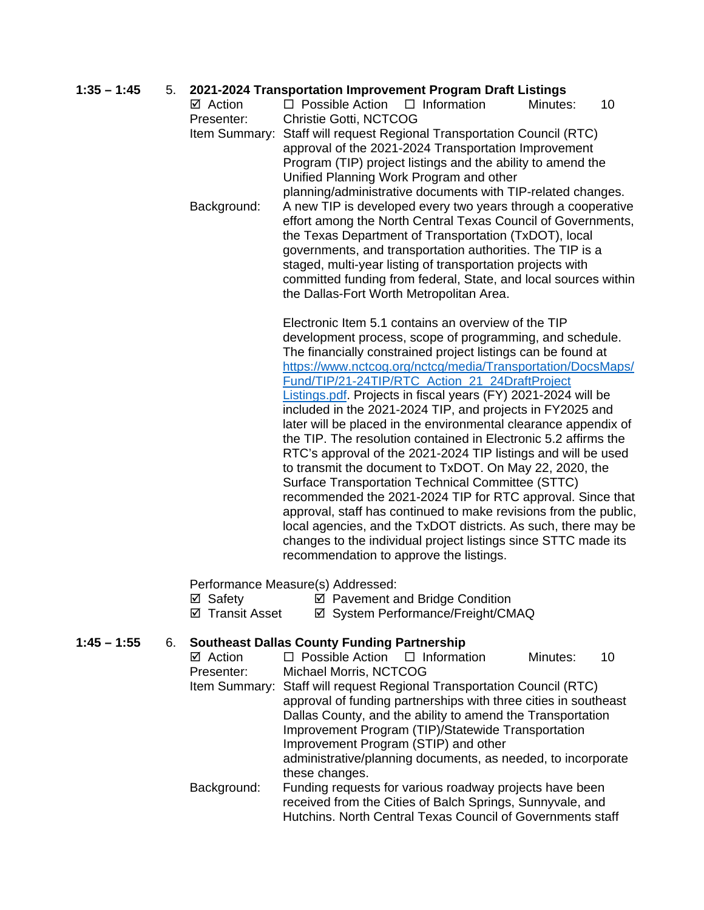## **1:35 – 1:45** 5. **2021-2024 Transportation Improvement Program Draft Listings**

**1:45 – 1:55** 6. **Southeast Dallas County Funding Partnership**

| ວ. |                    | 2021-2024 Transportation Improvement Program Draft Listings      |          |    |
|----|--------------------|------------------------------------------------------------------|----------|----|
|    | ⊠ Action           | $\Box$ Possible Action<br>$\Box$ Information                     | Minutes: | 10 |
|    | Presenter:         | Christie Gotti, NCTCOG                                           |          |    |
|    | Item Summary:      | Staff will request Regional Transportation Council (RTC)         |          |    |
|    |                    | approval of the 2021-2024 Transportation Improvement             |          |    |
|    |                    | Program (TIP) project listings and the ability to amend the      |          |    |
|    |                    | Unified Planning Work Program and other                          |          |    |
|    |                    | planning/administrative documents with TIP-related changes.      |          |    |
|    | Background:        | A new TIP is developed every two years through a cooperative     |          |    |
|    |                    | effort among the North Central Texas Council of Governments,     |          |    |
|    |                    | the Texas Department of Transportation (TxDOT), local            |          |    |
|    |                    | governments, and transportation authorities. The TIP is a        |          |    |
|    |                    | staged, multi-year listing of transportation projects with       |          |    |
|    |                    | committed funding from federal, State, and local sources within  |          |    |
|    |                    | the Dallas-Fort Worth Metropolitan Area.                         |          |    |
|    |                    |                                                                  |          |    |
|    |                    | Electronic Item 5.1 contains an overview of the TIP              |          |    |
|    |                    | development process, scope of programming, and schedule.         |          |    |
|    |                    | The financially constrained project listings can be found at     |          |    |
|    |                    | https://www.nctcog.org/nctcg/media/Transportation/DocsMaps/      |          |    |
|    |                    | Fund/TIP/21-24TIP/RTC_Action_21_24DraftProject                   |          |    |
|    |                    | Listings.pdf. Projects in fiscal years (FY) 2021-2024 will be    |          |    |
|    |                    | included in the 2021-2024 TIP, and projects in FY2025 and        |          |    |
|    |                    | later will be placed in the environmental clearance appendix of  |          |    |
|    |                    | the TIP. The resolution contained in Electronic 5.2 affirms the  |          |    |
|    |                    | RTC's approval of the 2021-2024 TIP listings and will be used    |          |    |
|    |                    | to transmit the document to TxDOT. On May 22, 2020, the          |          |    |
|    |                    | Surface Transportation Technical Committee (STTC)                |          |    |
|    |                    | recommended the 2021-2024 TIP for RTC approval. Since that       |          |    |
|    |                    | approval, staff has continued to make revisions from the public, |          |    |
|    |                    | local agencies, and the TxDOT districts. As such, there may be   |          |    |
|    |                    | changes to the individual project listings since STTC made its   |          |    |
|    |                    | recommendation to approve the listings.                          |          |    |
|    |                    |                                                                  |          |    |
|    |                    | Performance Measure(s) Addressed:                                |          |    |
|    | ☑ Safety           | ☑ Pavement and Bridge Condition                                  |          |    |
|    | ☑ Transit Asset    | ☑ System Performance/Freight/CMAQ                                |          |    |
|    |                    |                                                                  |          |    |
| 6. |                    | <b>Southeast Dallas County Funding Partnership</b>               |          |    |
|    | $\boxtimes$ Action | $\Box$ Possible Action<br>$\Box$ Information                     | Minutes: | 10 |
|    | Presenter:         | Michael Morris, NCTCOG                                           |          |    |
|    | Item Summary:      | Staff will request Regional Transportation Council (RTC)         |          |    |
|    |                    |                                                                  |          |    |
|    |                    | approval of funding partnerships with three cities in southeast  |          |    |
|    |                    | Dallas County, and the ability to amend the Transportation       |          |    |
|    |                    | Improvement Program (TIP)/Statewide Transportation               |          |    |
|    |                    | Improvement Program (STIP) and other                             |          |    |

administrative/planning documents, as needed, to incorporate these changes.

Background: Funding requests for various roadway projects have been received from the Cities of Balch Springs, Sunnyvale, and Hutchins. North Central Texas Council of Governments staff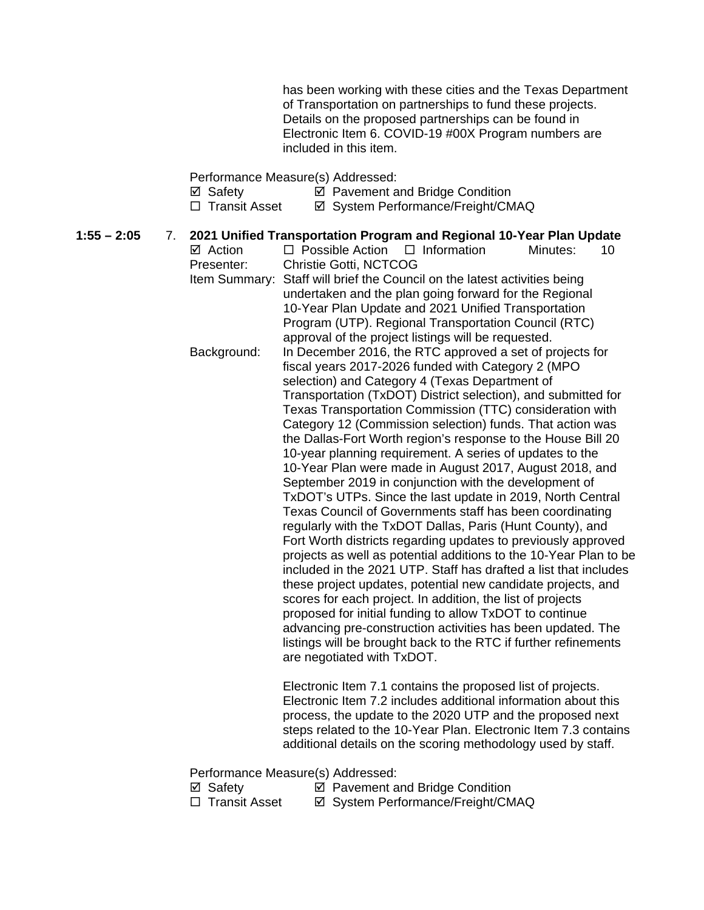has been working with these cities and the Texas Department of Transportation on partnerships to fund these projects. Details on the proposed partnerships can be found in Electronic Item 6. COVID-19 #00X Program numbers are included in this item.

Performance Measure(s) Addressed:

- $\boxtimes$  Safety  $\boxtimes$  Pavement and Bridge Condition
- □ Transit Asset  $\boxdot$  System Performance/Freight/CMAQ

**1:55 – 2:05** 7. **2021 Unified Transportation Program and Regional 10-Year Plan Update**  $\Box$  Possible Action  $\Box$  Information Minutes: 10 Presenter: Christie Gotti, NCTCOG Item Summary: Staff will brief the Council on the latest activities being undertaken and the plan going forward for the Regional 10-Year Plan Update and 2021 Unified Transportation Program (UTP). Regional Transportation Council (RTC) approval of the project listings will be requested. Background: In December 2016, the RTC approved a set of projects for fiscal years 2017-2026 funded with Category 2 (MPO selection) and Category 4 (Texas Department of Transportation (TxDOT) District selection), and submitted for Texas Transportation Commission (TTC) consideration with Category 12 (Commission selection) funds. That action was the Dallas-Fort Worth region's response to the House Bill 20 10-year planning requirement. A series of updates to the 10-Year Plan were made in August 2017, August 2018, and September 2019 in conjunction with the development of TxDOT's UTPs. Since the last update in 2019, North Central Texas Council of Governments staff has been coordinating regularly with the TxDOT Dallas, Paris (Hunt County), and Fort Worth districts regarding updates to previously approved projects as well as potential additions to the 10-Year Plan to be included in the 2021 UTP. Staff has drafted a list that includes these project updates, potential new candidate projects, and scores for each project. In addition, the list of projects proposed for initial funding to allow TxDOT to continue advancing pre-construction activities has been updated. The listings will be brought back to the RTC if further refinements are negotiated with TxDOT.

> Electronic Item 7.1 contains the proposed list of projects. Electronic Item 7.2 includes additional information about this process, the update to the 2020 UTP and the proposed next steps related to the 10-Year Plan. Electronic Item 7.3 contains additional details on the scoring methodology used by staff.

Performance Measure(s) Addressed:

- $\boxtimes$  Safety  $\boxtimes$  Pavement and Bridge Condition
- □ Transit Asset <br>  $\Box$  Transit Asset <br>  $\Box$  System Performance/Freight/CMAQ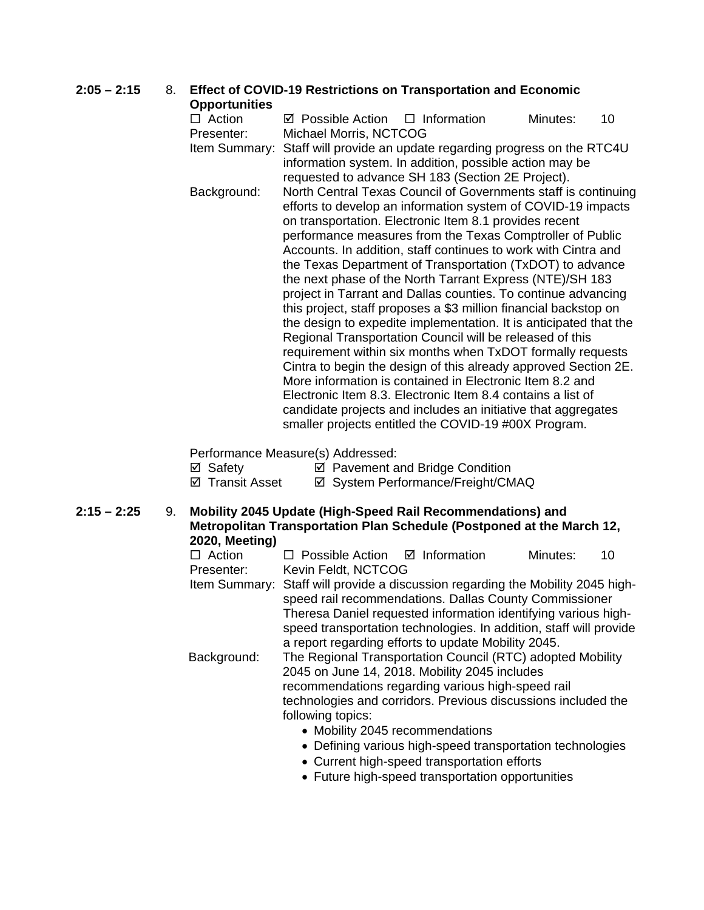## **2:05 – 2:15** 8. **Effect of COVID-19 Restrictions on Transportation and Economic**

| <b>Opportunities</b> |                                                | Lifect of COVID-19 Restrictions on Transportation and Leonomic                                                                                                                                                                                                                                                                                                                                                                                                                                                                                                                                                                                                                                                                                                                                                                                                                                                                                                                                                                                                                                              |          |    |
|----------------------|------------------------------------------------|-------------------------------------------------------------------------------------------------------------------------------------------------------------------------------------------------------------------------------------------------------------------------------------------------------------------------------------------------------------------------------------------------------------------------------------------------------------------------------------------------------------------------------------------------------------------------------------------------------------------------------------------------------------------------------------------------------------------------------------------------------------------------------------------------------------------------------------------------------------------------------------------------------------------------------------------------------------------------------------------------------------------------------------------------------------------------------------------------------------|----------|----|
| $\Box$ Action        | $\boxtimes$ Possible Action $\Box$ Information |                                                                                                                                                                                                                                                                                                                                                                                                                                                                                                                                                                                                                                                                                                                                                                                                                                                                                                                                                                                                                                                                                                             | Minutes: | 10 |
| Presenter:           | Michael Morris, NCTCOG                         |                                                                                                                                                                                                                                                                                                                                                                                                                                                                                                                                                                                                                                                                                                                                                                                                                                                                                                                                                                                                                                                                                                             |          |    |
| Item Summary:        |                                                | Staff will provide an update regarding progress on the RTC4U<br>information system. In addition, possible action may be<br>requested to advance SH 183 (Section 2E Project).                                                                                                                                                                                                                                                                                                                                                                                                                                                                                                                                                                                                                                                                                                                                                                                                                                                                                                                                |          |    |
| Background:          |                                                | North Central Texas Council of Governments staff is continuing<br>efforts to develop an information system of COVID-19 impacts<br>on transportation. Electronic Item 8.1 provides recent<br>performance measures from the Texas Comptroller of Public<br>Accounts. In addition, staff continues to work with Cintra and<br>the Texas Department of Transportation (TxDOT) to advance<br>the next phase of the North Tarrant Express (NTE)/SH 183<br>project in Tarrant and Dallas counties. To continue advancing<br>this project, staff proposes a \$3 million financial backstop on<br>the design to expedite implementation. It is anticipated that the<br>Regional Transportation Council will be released of this<br>requirement within six months when TxDOT formally requests<br>Cintra to begin the design of this already approved Section 2E.<br>More information is contained in Electronic Item 8.2 and<br>Electronic Item 8.3. Electronic Item 8.4 contains a list of<br>candidate projects and includes an initiative that aggregates<br>smaller projects entitled the COVID-19 #00X Program. |          |    |
|                      |                                                |                                                                                                                                                                                                                                                                                                                                                                                                                                                                                                                                                                                                                                                                                                                                                                                                                                                                                                                                                                                                                                                                                                             |          |    |

Performance Measure(s) Addressed:

| ⊠ Safety        | ☑ Pavement and Bridge Condition   |
|-----------------|-----------------------------------|
| ⊠ Transit Asset | ☑ System Performance/Freight/CMAQ |

- -

## **2:15 – 2:25** 9. **Mobility 2045 Update (High-Speed Rail Recommendations) and Metropolitan Transportation Plan Schedule (Postponed at the March 12, 2020, Meeting)**

| $\Box$ Action                                                      | $\Box$ Possible Action $\Box$ Information                                       |  |  | Minutes: | 10 |
|--------------------------------------------------------------------|---------------------------------------------------------------------------------|--|--|----------|----|
| Presenter:                                                         | Kevin Feldt, NCTCOG                                                             |  |  |          |    |
|                                                                    | Item Summary: Staff will provide a discussion regarding the Mobility 2045 high- |  |  |          |    |
|                                                                    | speed rail recommendations. Dallas County Commissioner                          |  |  |          |    |
|                                                                    | Theresa Daniel requested information identifying various high-                  |  |  |          |    |
| speed transportation technologies. In addition, staff will provide |                                                                                 |  |  |          |    |
|                                                                    | a report regarding efforts to update Mobility 2045.                             |  |  |          |    |
| Background:                                                        | The Regional Transportation Council (RTC) adopted Mobility                      |  |  |          |    |
|                                                                    | 2045 on June 14, 2018. Mobility 2045 includes                                   |  |  |          |    |
|                                                                    | recommendations regarding various high-speed rail                               |  |  |          |    |
|                                                                    | technologies and corridors. Previous discussions included the                   |  |  |          |    |
|                                                                    | following topics:                                                               |  |  |          |    |
|                                                                    | • Mobility 2045 recommendations                                                 |  |  |          |    |
|                                                                    |                                                                                 |  |  |          |    |

- Defining various high-speed transportation technologies
- Current high-speed transportation efforts
- Future high-speed transportation opportunities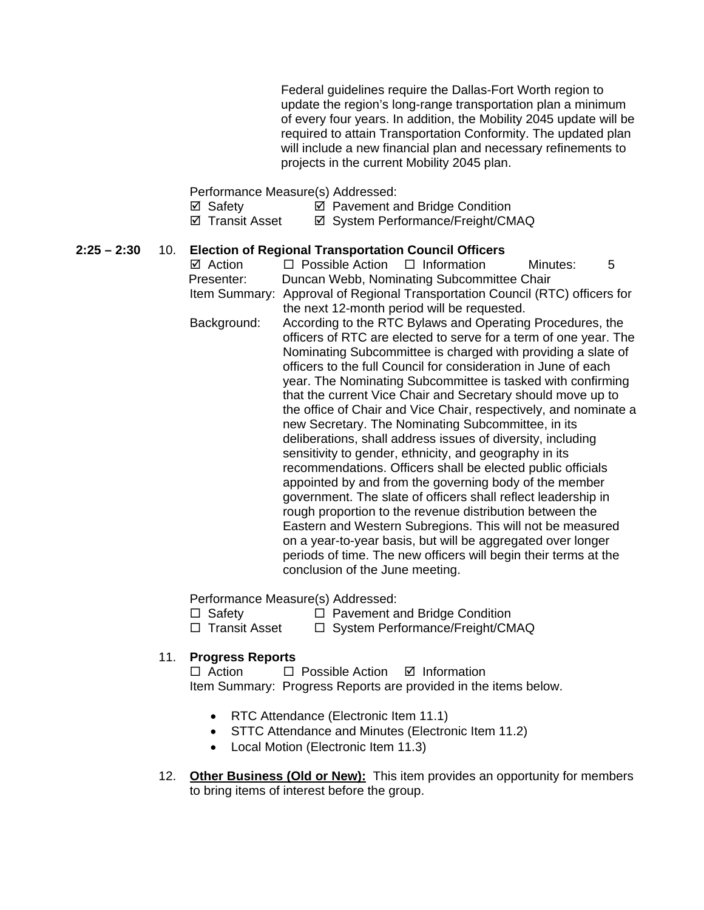Federal guidelines require the Dallas-Fort Worth region to update the region's long-range transportation plan a minimum of every four years. In addition, the Mobility 2045 update will be required to attain Transportation Conformity. The updated plan will include a new financial plan and necessary refinements to projects in the current Mobility 2045 plan.

Performance Measure(s) Addressed:

- **Ø** Safety **Ø** Pavement and Bridge Condition
- ⊠ Transit Asset <br> **Ø System Performance/Freight/CMAQ**

# **2:25 – 2:30** 10. **Election of Regional Transportation Council Officers**

 $\Box$  Possible Action  $\Box$  Information Minutes: 5 Presenter: Duncan Webb, Nominating Subcommittee Chair Item Summary: Approval of Regional Transportation Council (RTC) officers for the next 12-month period will be requested. Background: According to the RTC Bylaws and Operating Procedures, the officers of RTC are elected to serve for a term of one year. The Nominating Subcommittee is charged with providing a slate of officers to the full Council for consideration in June of each year. The Nominating Subcommittee is tasked with confirming that the current Vice Chair and Secretary should move up to the office of Chair and Vice Chair, respectively, and nominate a

new Secretary. The Nominating Subcommittee, in its deliberations, shall address issues of diversity, including sensitivity to gender, ethnicity, and geography in its recommendations. Officers shall be elected public officials appointed by and from the governing body of the member government. The slate of officers shall reflect leadership in rough proportion to the revenue distribution between the Eastern and Western Subregions. This will not be measured on a year-to-year basis, but will be aggregated over longer periods of time. The new officers will begin their terms at the conclusion of the June meeting.

Performance Measure(s) Addressed:

 $\Box$  Safety  $\Box$  Pavement and Bridge Condition

 $\Box$  Transit Asset  $\Box$  System Performance/Freight/CMAQ

### 11. **Progress Reports**

 $\Box$  Action  $\Box$  Possible Action  $\Box$  Information Item Summary: Progress Reports are provided in the items below.

- RTC Attendance (Electronic Item 11.1)
- STTC Attendance and Minutes (Electronic Item 11.2)
- Local Motion (Electronic Item 11.3)
- 12. **Other Business (Old or New):** This item provides an opportunity for members to bring items of interest before the group.